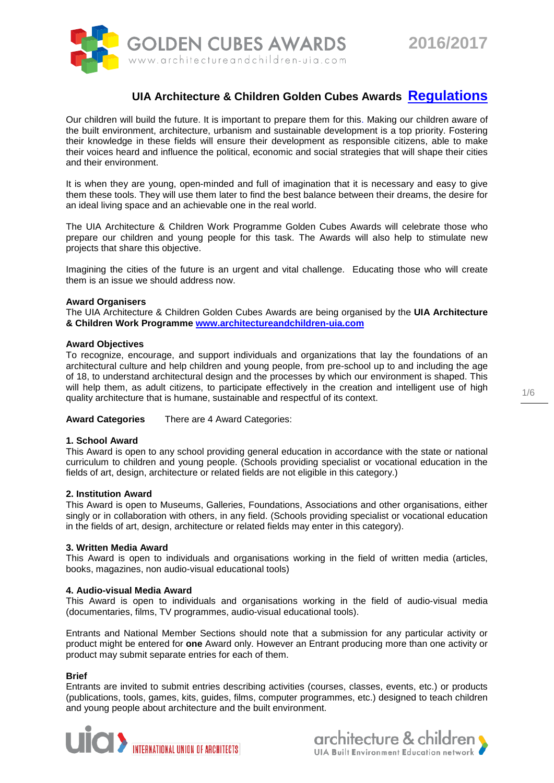

# **UIA Architecture & Children Golden Cubes Awards Regulations**

Our children will build the future. It is important to prepare them for this. Making our children aware of the built environment, architecture, urbanism and sustainable development is a top priority. Fostering their knowledge in these fields will ensure their development as responsible citizens, able to make their voices heard and influence the political, economic and social strategies that will shape their cities and their environment.

It is when they are young, open-minded and full of imagination that it is necessary and easy to give them these tools. They will use them later to find the best balance between their dreams, the desire for an ideal living space and an achievable one in the real world.

The UIA Architecture & Children Work Programme Golden Cubes Awards will celebrate those who prepare our children and young people for this task. The Awards will also help to stimulate new projects that share this objective.

Imagining the cities of the future is an urgent and vital challenge. Educating those who will create them is an issue we should address now.

# **Award Organisers**

The UIA Architecture & Children Golden Cubes Awards are being organised by the **UIA Architecture & Children Work Programme [www.architectureandchildren-uia.com](http://www.architectureandchildren-uia.com/)**

#### **Award Objectives**

To recognize, encourage, and support individuals and organizations that lay the foundations of an architectural culture and help children and young people, from pre-school up to and including the age of 18, to understand architectural design and the processes by which our environment is shaped. This will help them, as adult citizens, to participate effectively in the creation and intelligent use of high quality architecture that is humane, sustainable and respectful of its context.

**Award Categories** There are 4 Award Categories:

# **1. School Award**

This Award is open to any school providing general education in accordance with the state or national curriculum to children and young people. (Schools providing specialist or vocational education in the fields of art, design, architecture or related fields are not eligible in this category.)

#### **2. Institution Award**

This Award is open to Museums, Galleries, Foundations, Associations and other organisations, either singly or in collaboration with others, in any field. (Schools providing specialist or vocational education in the fields of art, design, architecture or related fields may enter in this category).

#### **3. Written Media Award**

This Award is open to individuals and organisations working in the field of written media (articles, books, magazines, non audio-visual educational tools)

#### **4. Audio-visual Media Award**

This Award is open to individuals and organisations working in the field of audio-visual media (documentaries, films, TV programmes, audio-visual educational tools).

Entrants and National Member Sections should note that a submission for any particular activity or product might be entered for **one** Award only. However an Entrant producing more than one activity or product may submit separate entries for each of them.

# **Brief**

Entrants are invited to submit entries describing activities (courses, classes, events, etc.) or products (publications, tools, games, kits, guides, films, computer programmes, etc.) designed to teach children and young people about architecture and the built environment.



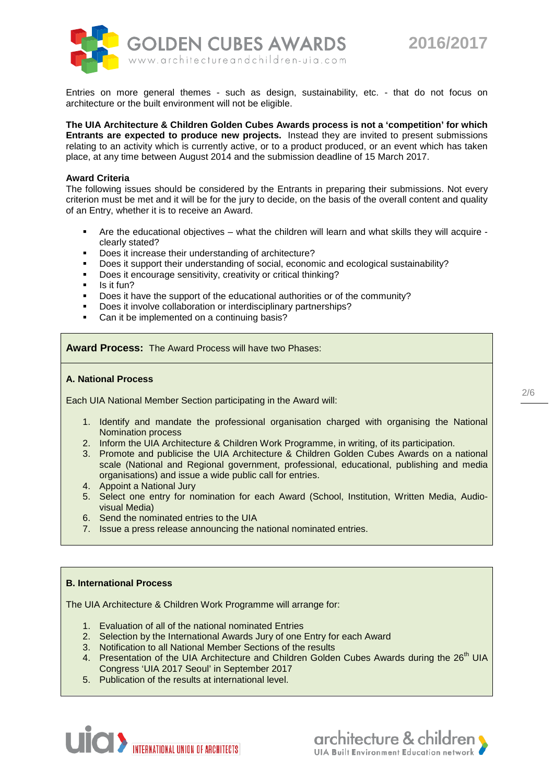



Entries on more general themes - such as design, sustainability, etc. - that do not focus on architecture or the built environment will not be eligible.

**The UIA Architecture & Children Golden Cubes Awards process is not a 'competition' for which Entrants are expected to produce new projects.** Instead they are invited to present submissions relating to an activity which is currently active, or to a product produced, or an event which has taken place, at any time between August 2014 and the submission deadline of 15 March 2017.

# **Award Criteria**

The following issues should be considered by the Entrants in preparing their submissions. Not every criterion must be met and it will be for the jury to decide, on the basis of the overall content and quality of an Entry, whether it is to receive an Award.

- $\blacksquare$  Are the educational objectives what the children will learn and what skills they will acquire clearly stated?
- Does it increase their understanding of architecture?
- Does it support their understanding of social, economic and ecological sustainability?
- Does it encourage sensitivity, creativity or critical thinking?
- $\blacksquare$  Is it fun?
- Does it have the support of the educational authorities or of the community?
- Does it involve collaboration or interdisciplinary partnerships?
- Can it be implemented on a continuing basis?

**Award Process:** The Award Process will have two Phases:

#### **A. National Process**

Each UIA National Member Section participating in the Award will:

- 1. Identify and mandate the professional organisation charged with organising the National Nomination process
- 2. Inform the UIA Architecture & Children Work Programme, in writing, of its participation.
- 3. Promote and publicise the UIA Architecture & Children Golden Cubes Awards on a national scale (National and Regional government, professional, educational, publishing and media organisations) and issue a wide public call for entries.
- 4. Appoint a National Jury
- 5. Select one entry for nomination for each Award (School, Institution, Written Media, Audiovisual Media)
- 6. Send the nominated entries to the UIA
- 7. Issue a press release announcing the national nominated entries.

# **B. International Process**

The UIA Architecture & Children Work Programme will arrange for:

- 1. Evaluation of all of the national nominated Entries
- 2. Selection by the International Awards Jury of one Entry for each Award
- 3. Notification to all National Member Sections of the results
- 4. Presentation of the UIA Architecture and Children Golden Cubes Awards during the 26<sup>th</sup> UIA Congress 'UIA 2017 Seoul' in September 2017
- 5. Publication of the results at international level.



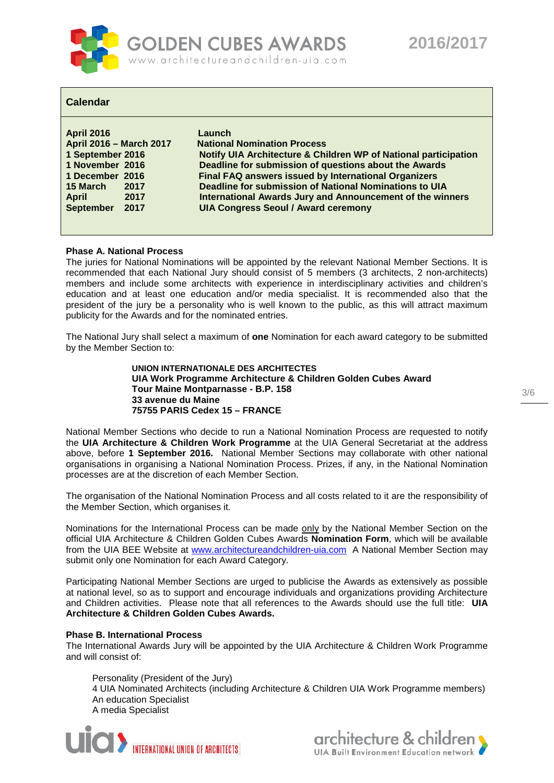

# **Calendar**

| <b>April 2016</b>       |      | Launch                                                          |
|-------------------------|------|-----------------------------------------------------------------|
| April 2016 - March 2017 |      | <b>National Nomination Process</b>                              |
| 1 September 2016        |      | Notify UIA Architecture & Children WP of National participation |
| 1 November 2016         |      | Deadline for submission of questions about the Awards           |
| 1 December 2016         |      | Final FAQ answers issued by International Organizers            |
| 15 March                | 2017 | Deadline for submission of National Nominations to UIA          |
| <b>April</b>            | 2017 | International Awards Jury and Announcement of the winners       |
| <b>September</b>        | 2017 | <b>UIA Congress Seoul / Award ceremony</b>                      |
|                         |      |                                                                 |

# **Phase A. National Process**

The juries for National Nominations will be appointed by the relevant National Member Sections. It is recommended that each National Jury should consist of 5 members (3 architects, 2 non-architects) members and include some architects with experience in interdisciplinary activities and children's education and at least one education and/or media specialist. It is recommended also that the president of the jury be a personality who is well known to the public, as this will attract maximum publicity for the Awards and for the nominated entries.

The National Jury shall select a maximum of **one** Nomination for each award category to be submitted by the Member Section to:

> **UNION INTERNATIONALE DES ARCHITECTES UIA Work Programme Architecture & Children Golden Cubes Award Tour Maine Montparnasse - B.P. 158 33 avenue du Maine 75755 PARIS Cedex 15 – FRANCE**

National Member Sections who decide to run a National Nomination Process are requested to notify the **UIA Architecture & Children Work Programme** at the UIA General Secretariat at the address above, before **1 September 2016.** National Member Sections may collaborate with other national organisations in organising a National Nomination Process. Prizes, if any, in the National Nomination processes are at the discretion of each Member Section.

The organisation of the National Nomination Process and all costs related to it are the responsibility of the Member Section, which organises it.

Nominations for the International Process can be made only by the National Member Section on the official UIA Architecture & Children Golden Cubes Awards **Nomination Form**, which will be available from the UIA BEE Website at [www.architectureandchildren-uia.com](http://www.architectureandchildren-uia.com/) A National Member Section may submit only one Nomination for each Award Category.

Participating National Member Sections are urged to publicise the Awards as extensively as possible at national level, so as to support and encourage individuals and organizations providing Architecture and Children activities. Please note that all references to the Awards should use the full title: **UIA Architecture & Children Golden Cubes Awards.**

# **Phase B. International Process**

The International Awards Jury will be appointed by the UIA Architecture & Children Work Programme and will consist of:

Personality (President of the Jury)

4 UIA Nominated Architects (including Architecture & Children UIA Work Programme members) An education Specialist A media Specialist



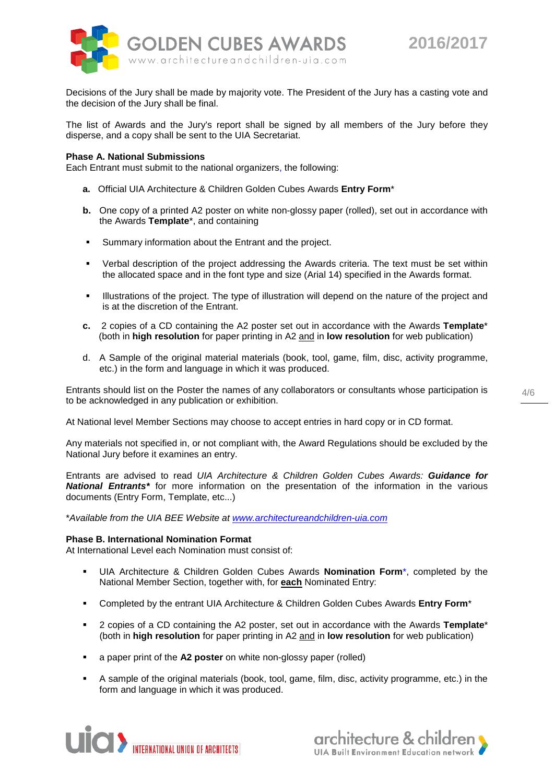

Decisions of the Jury shall be made by majority vote. The President of the Jury has a casting vote and the decision of the Jury shall be final.

The list of Awards and the Jury's report shall be signed by all members of the Jury before they disperse, and a copy shall be sent to the UIA Secretariat.

### **Phase A. National Submissions**

Each Entrant must submit to the national organizers, the following:

- **a.** Official UIA Architecture & Children Golden Cubes Awards **Entry Form**\*
- **b.** One copy of a printed A2 poster on white non-glossy paper (rolled), set out in accordance with the Awards **Template**\*, and containing
- Summary information about the Entrant and the project.
- Verbal description of the project addressing the Awards criteria. The text must be set within the allocated space and in the font type and size (Arial 14) specified in the Awards format.
- Illustrations of the project. The type of illustration will depend on the nature of the project and is at the discretion of the Entrant.
- **c.** 2 copies of a CD containing the A2 poster set out in accordance with the Awards **Template**\* (both in **high resolution** for paper printing in A2 and in **low resolution** for web publication)
- d. A Sample of the original material materials (book, tool, game, film, disc, activity programme, etc.) in the form and language in which it was produced.

Entrants should list on the Poster the names of any collaborators or consultants whose participation is to be acknowledged in any publication or exhibition.

At National level Member Sections may choose to accept entries in hard copy or in CD format.

Any materials not specified in, or not compliant with, the Award Regulations should be excluded by the National Jury before it examines an entry.

Entrants are advised to read *UIA Architecture & Children Golden Cubes Awards: Guidance for National Entrants\** for more information on the presentation of the information in the various documents (Entry Form, Template, etc...)

\**Available from the UIA BEE Website at [www.architectureandchildren-uia.com](http://www.architectureandchildren-uia.com/)*

#### **Phase B. International Nomination Format**

At International Level each Nomination must consist of:

- UIA Architecture & Children Golden Cubes Awards **Nomination Form**\*, completed by the National Member Section, together with, for **each** Nominated Entry:
- Completed by the entrant UIA Architecture & Children Golden Cubes Awards **Entry Form**\*
- 2 copies of a CD containing the A2 poster, set out in accordance with the Awards **Template**\* (both in **high resolution** for paper printing in A2 and in **low resolution** for web publication)
- a paper print of the **A2 poster** on white non-glossy paper (rolled)
- A sample of the original materials (book, tool, game, film, disc, activity programme, etc.) in the form and language in which it was produced.



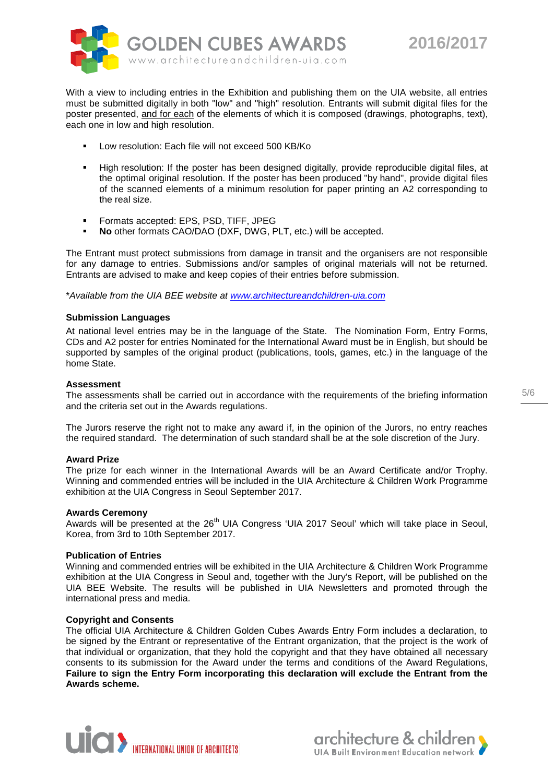



With a view to including entries in the Exhibition and publishing them on the UIA website, all entries must be submitted digitally in both "low" and "high" resolution. Entrants will submit digital files for the poster presented, and for each of the elements of which it is composed (drawings, photographs, text), each one in low and high resolution.

- Low resolution: Each file will not exceed 500 KB/Ko
- High resolution: If the poster has been designed digitally, provide reproducible digital files, at the optimal original resolution. If the poster has been produced "by hand", provide digital files of the scanned elements of a minimum resolution for paper printing an A2 corresponding to the real size.
- **Formats accepted: EPS, PSD, TIFF, JPEG**
- **No** other formats CAO/DAO (DXF, DWG, PLT, etc.) will be accepted.

The Entrant must protect submissions from damage in transit and the organisers are not responsible for any damage to entries. Submissions and/or samples of original materials will not be returned. Entrants are advised to make and keep copies of their entries before submission.

\**Available from the UIA BEE website at [www.architectureandchildren-uia.com](http://www.architectureandchildren-uia.com/)*

# **Submission Languages**

At national level entries may be in the language of the State. The Nomination Form, Entry Forms, CDs and A2 poster for entries Nominated for the International Award must be in English, but should be supported by samples of the original product (publications, tools, games, etc.) in the language of the home State.

# **Assessment**

The assessments shall be carried out in accordance with the requirements of the briefing information and the criteria set out in the Awards regulations.

The Jurors reserve the right not to make any award if, in the opinion of the Jurors, no entry reaches the required standard. The determination of such standard shall be at the sole discretion of the Jury.

# **Award Prize**

The prize for each winner in the International Awards will be an Award Certificate and/or Trophy. Winning and commended entries will be included in the UIA Architecture & Children Work Programme exhibition at the UIA Congress in Seoul September 2017.

# **Awards Ceremony**

Awards will be presented at the 26<sup>th</sup> UIA Congress 'UIA 2017 Seoul' which will take place in Seoul, Korea, from 3rd to 10th September 2017.

#### **Publication of Entries**

Winning and commended entries will be exhibited in the UIA Architecture & Children Work Programme exhibition at the UIA Congress in Seoul and, together with the Jury's Report, will be published on the UIA BEE Website. The results will be published in UIA Newsletters and promoted through the international press and media.

#### **Copyright and Consents**

The official UIA Architecture & Children Golden Cubes Awards Entry Form includes a declaration, to be signed by the Entrant or representative of the Entrant organization, that the project is the work of that individual or organization, that they hold the copyright and that they have obtained all necessary consents to its submission for the Award under the terms and conditions of the Award Regulations, **Failure to sign the Entry Form incorporating this declaration will exclude the Entrant from the Awards scheme.**